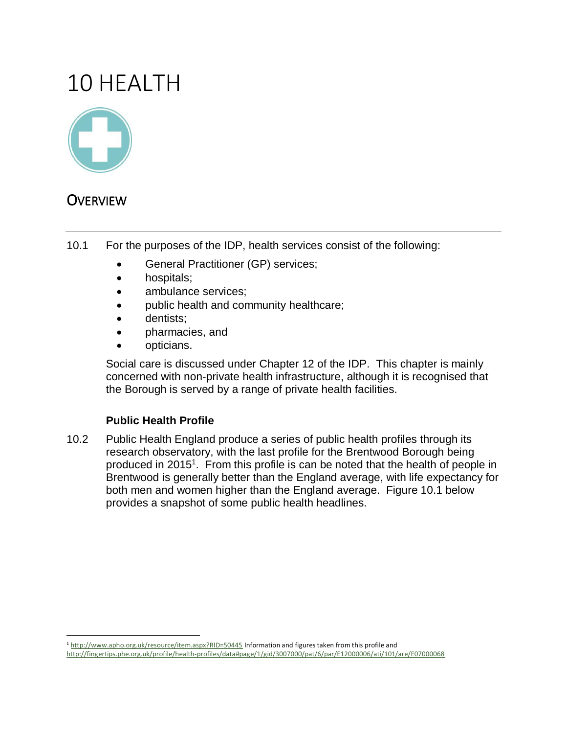# 10 HEALTH



# **OVERVIEW**

 $\overline{a}$ 

- 10.1 For the purposes of the IDP, health services consist of the following:
	- General Practitioner (GP) services;
	- hospitals;
	- ambulance services:
	- public health and community healthcare;
	- dentists;
	- pharmacies, and
	- opticians.

Social care is discussed under Chapter 12 of the IDP. This chapter is mainly concerned with non-private health infrastructure, although it is recognised that the Borough is served by a range of private health facilities.

## **Public Health Profile**

10.2 Public Health England produce a series of public health profiles through its research observatory, with the last profile for the Brentwood Borough being produced in 2015<sup>1</sup>. From this profile is can be noted that the health of people in Brentwood is generally better than the England average, with life expectancy for both men and women higher than the England average. Figure 10.1 below provides a snapshot of some public health headlines.

<sup>1</sup> <http://www.apho.org.uk/resource/item.aspx?RID=50445> Information and figures taken from this profile and <http://fingertips.phe.org.uk/profile/health-profiles/data#page/1/gid/3007000/pat/6/par/E12000006/ati/101/are/E07000068>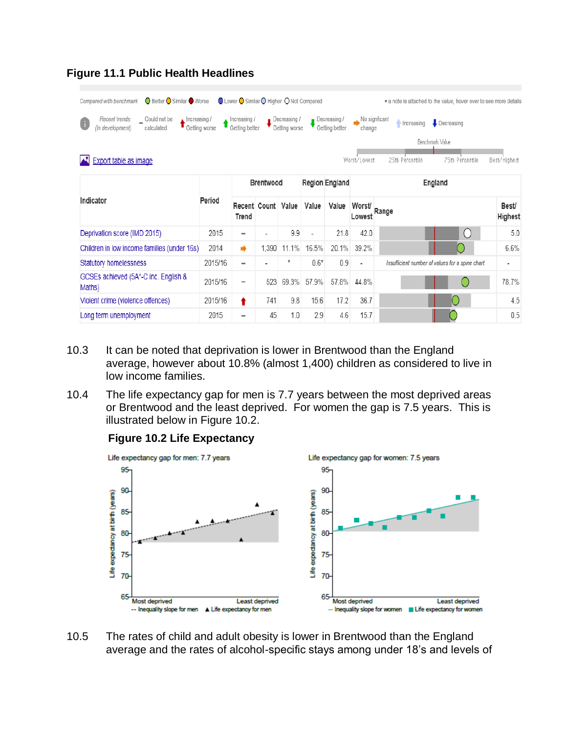| $\overline{\phantom{a}}$ Could not be<br>Recent trends:<br>Increasing / |               | Increasing /                 |         | Decreasing /  |                          | Decreasing /   | No signficant            | $\bullet$ Decreasing<br>Increasing              |                          |
|-------------------------------------------------------------------------|---------------|------------------------------|---------|---------------|--------------------------|----------------|--------------------------|-------------------------------------------------|--------------------------|
| O<br>(in development)<br>calculated                                     | Getting worse | Getting better               |         | Getting worse |                          | Getting better | change                   |                                                 |                          |
|                                                                         |               |                              |         |               |                          |                |                          | Benchmark Value                                 |                          |
| <b>Export table as image</b>                                            |               |                              |         |               |                          |                | Worst/Lowest             | 75th Percentile<br>25th Percentile              | Best/Highest             |
| Region England<br><b>Brentwood</b>                                      |               |                              | England |               |                          |                |                          |                                                 |                          |
| Indicator                                                               | Period        | Recent Count<br><b>Trend</b> |         | Value         | Value                    | Value          | Worst/<br>Lowest         | Range                                           | Best/<br>Highest         |
| Deprivation score (IMD 2015)                                            | 2015          | $\overline{\phantom{a}}$     |         | 9.9           | $\overline{\phantom{a}}$ | 21.8           | 42.0                     | $\left( \right)$                                | 5.0                      |
| Children in low income families (under 16s)                             | 2014          | ۰                            | 1,390   | 11.1%         | 16.5%                    | 20.1%          | 39.2%                    |                                                 | 6.6%                     |
| Statutory homelessness                                                  | 2015/16       | $\qquad \qquad \blacksquare$ |         | $\ast$        | $0.6*$                   | 0.9            | $\overline{\phantom{a}}$ | Insufficient number of values for a spine chart | $\overline{\phantom{a}}$ |
| GCSEs achieved (5A*-C inc. English &<br>Maths)                          | 2015/16       | $\qquad \qquad \blacksquare$ | 523     | 69.3%         | 57.9%                    | 57.8%          | 44.8%                    |                                                 | 78.7%                    |
| Violent crime (violence offences)                                       | 2015/16       | t                            | 741     | 9.8           | 15.6                     | 17.2           | 36.7                     |                                                 | 4.5                      |
| Long term unemployment                                                  | 2015          | $\overline{\phantom{a}}$     | 45      | 1.0           | 2.9                      | 4.6            | 15.7                     |                                                 | 0.5                      |

# **Figure 11.1 Public Health Headlines**

- 10.3 It can be noted that deprivation is lower in Brentwood than the England average, however about 10.8% (almost 1,400) children as considered to live in low income families.
- 10.4 The life expectancy gap for men is 7.7 years between the most deprived areas or Brentwood and the least deprived. For women the gap is 7.5 years. This is illustrated below in Figure 10.2.



#### **Figure 10.2 Life Expectancy**

10.5 The rates of child and adult obesity is lower in Brentwood than the England average and the rates of alcohol-specific stays among under 18's and levels of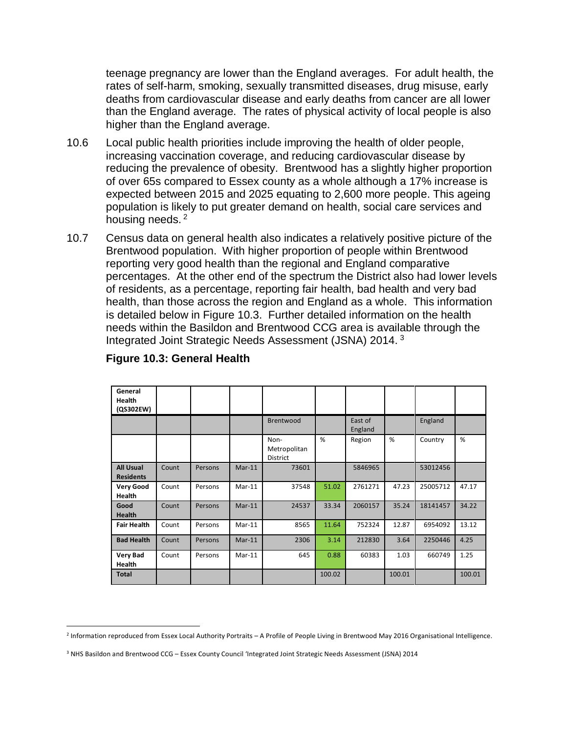teenage pregnancy are lower than the England averages. For adult health, the rates of self-harm, smoking, sexually transmitted diseases, drug misuse, early deaths from cardiovascular disease and early deaths from cancer are all lower than the England average. The rates of physical activity of local people is also higher than the England average.

- 10.6 Local public health priorities include improving the health of older people, increasing vaccination coverage, and reducing cardiovascular disease by reducing the prevalence of obesity. Brentwood has a slightly higher proportion of over 65s compared to Essex county as a whole although a 17% increase is expected between 2015 and 2025 equating to 2,600 more people. This ageing population is likely to put greater demand on health, social care services and housing needs.<sup>2</sup>
- 10.7 Census data on general health also indicates a relatively positive picture of the Brentwood population. With higher proportion of people within Brentwood reporting very good health than the regional and England comparative percentages. At the other end of the spectrum the District also had lower levels of residents, as a percentage, reporting fair health, bad health and very bad health, than those across the region and England as a whole. This information is detailed below in Figure 10.3. Further detailed information on the health needs within the Basildon and Brentwood CCG area is available through the Integrated Joint Strategic Needs Assessment (JSNA) 2014. <sup>3</sup>

| General<br><b>Health</b><br>(QS302EW) |       |         |          |                                         |        |                    |        |          |        |
|---------------------------------------|-------|---------|----------|-----------------------------------------|--------|--------------------|--------|----------|--------|
|                                       |       |         |          | Brentwood                               |        | East of<br>England |        | England  |        |
|                                       |       |         |          | Non-<br>Metropolitan<br><b>District</b> | %      | Region             | %      | Country  | %      |
| <b>All Usual</b><br><b>Residents</b>  | Count | Persons | $Mar-11$ | 73601                                   |        | 5846965            |        | 53012456 |        |
| <b>Very Good</b><br><b>Health</b>     | Count | Persons | $Mar-11$ | 37548                                   | 51.02  | 2761271            | 47.23  | 25005712 | 47.17  |
| Good<br><b>Health</b>                 | Count | Persons | $Mar-11$ | 24537                                   | 33.34  | 2060157            | 35.24  | 18141457 | 34.22  |
| <b>Fair Health</b>                    | Count | Persons | $Mar-11$ | 8565                                    | 11.64  | 752324             | 12.87  | 6954092  | 13.12  |
| <b>Bad Health</b>                     | Count | Persons | $Mar-11$ | 2306                                    | 3.14   | 212830             | 3.64   | 2250446  | 4.25   |
| <b>Very Bad</b><br><b>Health</b>      | Count | Persons | $Mar-11$ | 645                                     | 0.88   | 60383              | 1.03   | 660749   | 1.25   |
| <b>Total</b>                          |       |         |          |                                         | 100.02 |                    | 100.01 |          | 100.01 |

#### **Figure 10.3: General Health**

 $\overline{\phantom{a}}$ 

<sup>2</sup> Information reproduced from Essex Local Authority Portraits – A Profile of People Living in Brentwood May 2016 Organisational Intelligence.

<sup>&</sup>lt;sup>3</sup> NHS Basildon and Brentwood CCG – Essex County Council 'Integrated Joint Strategic Needs Assessment (JSNA) 2014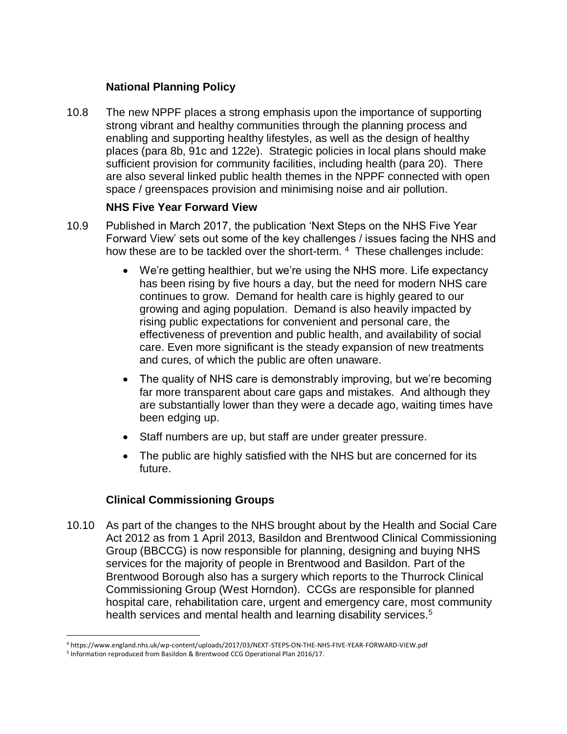## **National Planning Policy**

10.8 The new NPPF places a strong emphasis upon the importance of supporting strong vibrant and healthy communities through the planning process and enabling and supporting healthy lifestyles, as well as the design of healthy places (para 8b, 91c and 122e). Strategic policies in local plans should make sufficient provision for community facilities, including health (para 20). There are also several linked public health themes in the NPPF connected with open space / greenspaces provision and minimising noise and air pollution.

#### **NHS Five Year Forward View**

- 10.9 Published in March 2017, the publication 'Next Steps on the NHS Five Year Forward View' sets out some of the key challenges / issues facing the NHS and how these are to be tackled over the short-term. <sup>4</sup> These challenges include:
	- We're getting healthier, but we're using the NHS more. Life expectancy has been rising by five hours a day, but the need for modern NHS care continues to grow. Demand for health care is highly geared to our growing and aging population. Demand is also heavily impacted by rising public expectations for convenient and personal care, the effectiveness of prevention and public health, and availability of social care. Even more significant is the steady expansion of new treatments and cures, of which the public are often unaware.
	- The quality of NHS care is demonstrably improving, but we're becoming far more transparent about care gaps and mistakes. And although they are substantially lower than they were a decade ago, waiting times have been edging up.
	- Staff numbers are up, but staff are under greater pressure.
	- The public are highly satisfied with the NHS but are concerned for its future.

## **Clinical Commissioning Groups**

10.10 As part of the changes to the NHS brought about by the Health and Social Care Act 2012 as from 1 April 2013, Basildon and Brentwood Clinical Commissioning Group (BBCCG) is now responsible for planning, designing and buying NHS services for the majority of people in Brentwood and Basildon. Part of the Brentwood Borough also has a surgery which reports to the Thurrock Clinical Commissioning Group (West Horndon). CCGs are responsible for planned hospital care, rehabilitation care, urgent and emergency care, most community health services and mental health and learning disability services.<sup>5</sup>

 $\overline{a}$ <sup>4</sup> https://www.england.nhs.uk/wp-content/uploads/2017/03/NEXT-STEPS-ON-THE-NHS-FIVE-YEAR-FORWARD-VIEW.pdf

<sup>&</sup>lt;sup>5</sup> Information reproduced from Basildon & Brentwood CCG Operational Plan 2016/17.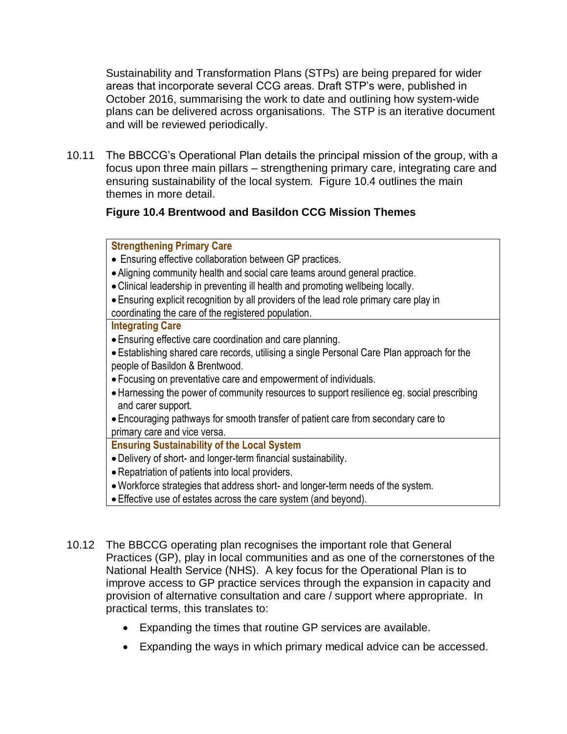Sustainability and Transformation Plans (STPs) are being prepared for wider areas that incorporate several CCG areas. Draft STP's were, published in October 2016, summarising the work to date and outlining how system-wide plans can be delivered across organisations. The STP is an iterative document and will be reviewed periodically.

10.11 The BBCCG's Operational Plan details the principal mission of the group, with a focus upon three main pillars – strengthening primary care, integrating care and ensuring sustainability of the local system. Figure 10.4 outlines the main themes in more detail.

## **Figure 10.4 Brentwood and Basildon CCG Mission Themes**

#### **Strengthening Primary Care**

- Ensuring effective collaboration between GP practices.
- Aligning community health and social care teams around general practice.
- •Clinical leadership in preventing ill health and promoting wellbeing locally.
- Ensuring explicit recognition by all providers of the lead role primary care play in coordinating the care of the registered population.

#### **Integrating Care**

- Ensuring effective care coordination and care planning.
- Establishing shared care records, utilising a single Personal Care Plan approach for the people of Basildon & Brentwood.
- Focusing on preventative care and empowerment of individuals.
- •Harnessing the power of community resources to support resilience eg. social prescribing and carer support.
- Encouraging pathways for smooth transfer of patient care from secondary care to primary care and vice versa.

## **Ensuring Sustainability of the Local System**

- •Delivery of short- and longer-term financial sustainability.
- •Repatriation of patients into local providers.
- •Workforce strategies that address short- and longer-term needs of the system.
- Effective use of estates across the care system (and beyond).
- 10.12 The BBCCG operating plan recognises the important role that General Practices (GP), play in local communities and as one of the cornerstones of the National Health Service (NHS). A key focus for the Operational Plan is to improve access to GP practice services through the expansion in capacity and provision of alternative consultation and care / support where appropriate. In practical terms, this translates to:
	- Expanding the times that routine GP services are available.
	- Expanding the ways in which primary medical advice can be accessed.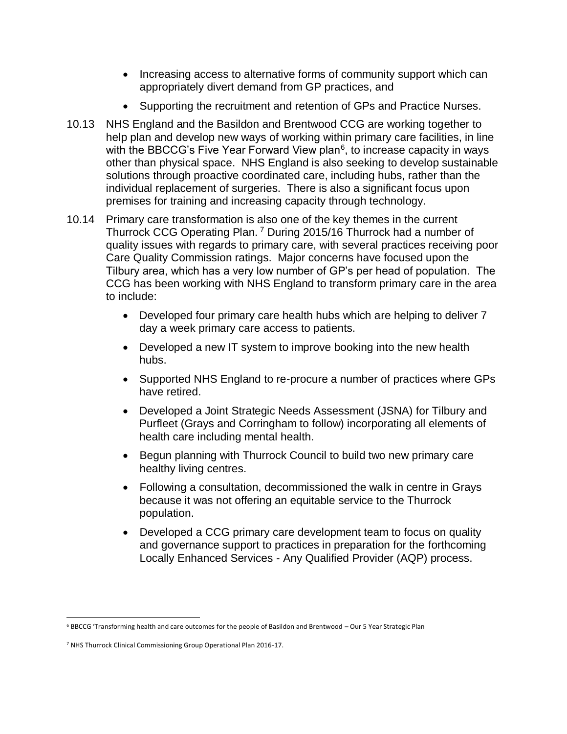- Increasing access to alternative forms of community support which can appropriately divert demand from GP practices, and
- Supporting the recruitment and retention of GPs and Practice Nurses.
- 10.13 NHS England and the Basildon and Brentwood CCG are working together to help plan and develop new ways of working within primary care facilities, in line with the BBCCG's Five Year Forward View plan<sup>6</sup>, to increase capacity in ways other than physical space. NHS England is also seeking to develop sustainable solutions through proactive coordinated care, including hubs, rather than the individual replacement of surgeries. There is also a significant focus upon premises for training and increasing capacity through technology.
- 10.14 Primary care transformation is also one of the key themes in the current Thurrock CCG Operating Plan. <sup>7</sup> During 2015/16 Thurrock had a number of quality issues with regards to primary care, with several practices receiving poor Care Quality Commission ratings. Major concerns have focused upon the Tilbury area, which has a very low number of GP's per head of population. The CCG has been working with NHS England to transform primary care in the area to include:
	- Developed four primary care health hubs which are helping to deliver 7 day a week primary care access to patients.
	- Developed a new IT system to improve booking into the new health hubs.
	- Supported NHS England to re-procure a number of practices where GPs have retired.
	- Developed a Joint Strategic Needs Assessment (JSNA) for Tilbury and Purfleet (Grays and Corringham to follow) incorporating all elements of health care including mental health.
	- Begun planning with Thurrock Council to build two new primary care healthy living centres.
	- Following a consultation, decommissioned the walk in centre in Grays because it was not offering an equitable service to the Thurrock population.
	- Developed a CCG primary care development team to focus on quality and governance support to practices in preparation for the forthcoming Locally Enhanced Services - Any Qualified Provider (AQP) process.

 $\overline{a}$ <sup>6</sup> BBCCG 'Transforming health and care outcomes for the people of Basildon and Brentwood – Our 5 Year Strategic Plan

<sup>7</sup> NHS Thurrock Clinical Commissioning Group Operational Plan 2016-17.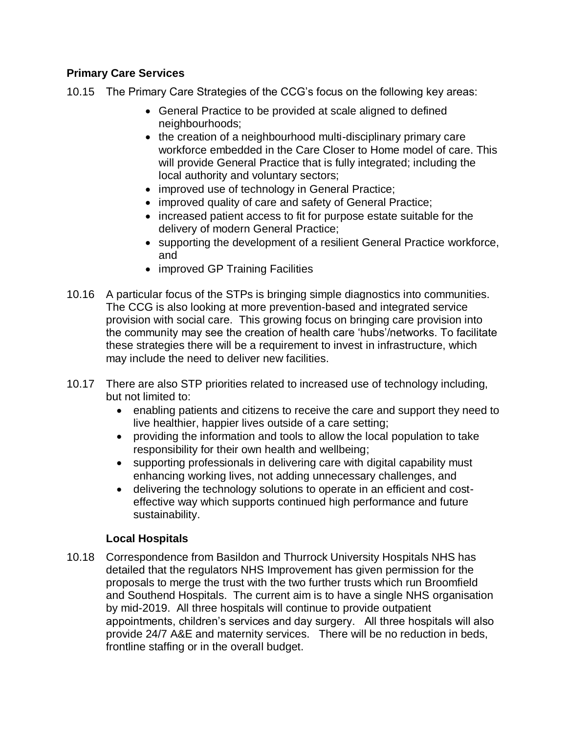## **Primary Care Services**

- 10.15 The Primary Care Strategies of the CCG's focus on the following key areas:
	- General Practice to be provided at scale aligned to defined neighbourhoods;
	- the creation of a neighbourhood multi-disciplinary primary care workforce embedded in the Care Closer to Home model of care. This will provide General Practice that is fully integrated; including the local authority and voluntary sectors;
	- improved use of technology in General Practice;
	- improved quality of care and safety of General Practice;
	- increased patient access to fit for purpose estate suitable for the delivery of modern General Practice;
	- supporting the development of a resilient General Practice workforce, and
	- improved GP Training Facilities
- 10.16 A particular focus of the STPs is bringing simple diagnostics into communities. The CCG is also looking at more prevention-based and integrated service provision with social care. This growing focus on bringing care provision into the community may see the creation of health care 'hubs'/networks. To facilitate these strategies there will be a requirement to invest in infrastructure, which may include the need to deliver new facilities.
- 10.17 There are also STP priorities related to increased use of technology including, but not limited to:
	- enabling patients and citizens to receive the care and support they need to live healthier, happier lives outside of a care setting;
	- providing the information and tools to allow the local population to take responsibility for their own health and wellbeing;
	- supporting professionals in delivering care with digital capability must enhancing working lives, not adding unnecessary challenges, and
	- delivering the technology solutions to operate in an efficient and costeffective way which supports continued high performance and future sustainability.

## **Local Hospitals**

10.18 Correspondence from Basildon and Thurrock University Hospitals NHS has detailed that the regulators NHS Improvement has given permission for the proposals to merge the trust with the two further trusts which run Broomfield and Southend Hospitals. The current aim is to have a single NHS organisation by mid-2019. All three hospitals will continue to provide outpatient appointments, children's services and day surgery. All three hospitals will also provide 24/7 A&E and maternity services. There will be no reduction in beds, frontline staffing or in the overall budget.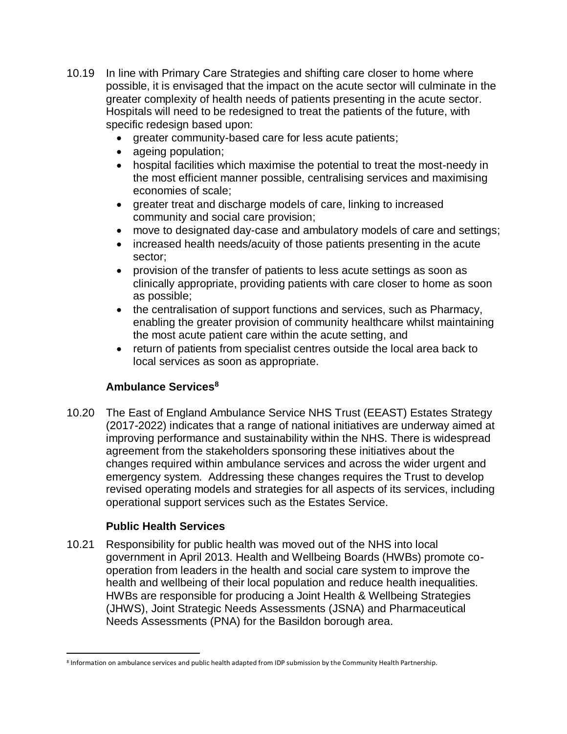- 10.19 In line with Primary Care Strategies and shifting care closer to home where possible, it is envisaged that the impact on the acute sector will culminate in the greater complexity of health needs of patients presenting in the acute sector. Hospitals will need to be redesigned to treat the patients of the future, with specific redesign based upon:
	- greater community-based care for less acute patients;
	- ageing population;
	- hospital facilities which maximise the potential to treat the most-needy in the most efficient manner possible, centralising services and maximising economies of scale;
	- greater treat and discharge models of care, linking to increased community and social care provision;
	- move to designated day-case and ambulatory models of care and settings;
	- increased health needs/acuity of those patients presenting in the acute sector;
	- provision of the transfer of patients to less acute settings as soon as clinically appropriate, providing patients with care closer to home as soon as possible;
	- the centralisation of support functions and services, such as Pharmacy, enabling the greater provision of community healthcare whilst maintaining the most acute patient care within the acute setting, and
	- return of patients from specialist centres outside the local area back to local services as soon as appropriate.

# **Ambulance Services<sup>8</sup>**

10.20 The East of England Ambulance Service NHS Trust (EEAST) Estates Strategy (2017-2022) indicates that a range of national initiatives are underway aimed at improving performance and sustainability within the NHS. There is widespread agreement from the stakeholders sponsoring these initiatives about the changes required within ambulance services and across the wider urgent and emergency system. Addressing these changes requires the Trust to develop revised operating models and strategies for all aspects of its services, including operational support services such as the Estates Service.

## **Public Health Services**

10.21 Responsibility for public health was moved out of the NHS into local government in April 2013. Health and Wellbeing Boards (HWBs) promote cooperation from leaders in the health and social care system to improve the health and wellbeing of their local population and reduce health inequalities. HWBs are responsible for producing a Joint Health & Wellbeing Strategies (JHWS), Joint Strategic Needs Assessments (JSNA) and Pharmaceutical Needs Assessments (PNA) for the Basildon borough area.

 $\overline{\phantom{a}}$ 8 Information on ambulance services and public health adapted from IDP submission by the Community Health Partnership.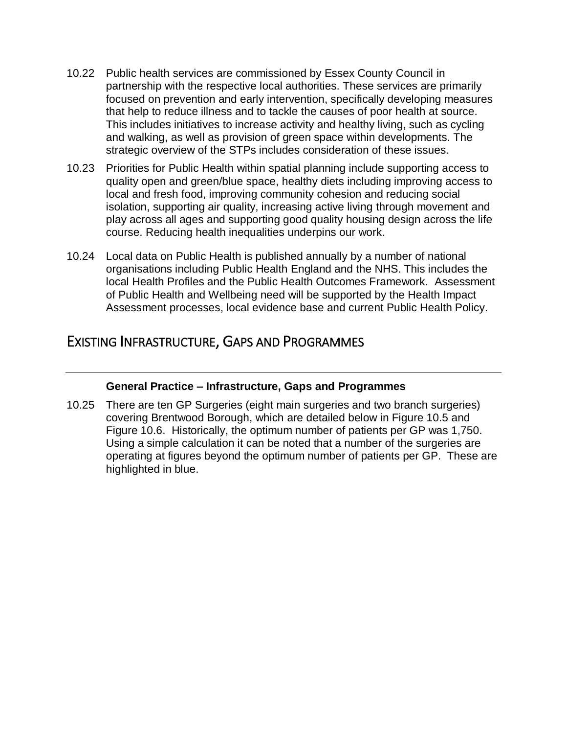- 10.22 Public health services are commissioned by Essex County Council in partnership with the respective local authorities. These services are primarily focused on prevention and early intervention, specifically developing measures that help to reduce illness and to tackle the causes of poor health at source. This includes initiatives to increase activity and healthy living, such as cycling and walking, as well as provision of green space within developments. The strategic overview of the STPs includes consideration of these issues.
- 10.23 Priorities for Public Health within spatial planning include supporting access to quality open and green/blue space, healthy diets including improving access to local and fresh food, improving community cohesion and reducing social isolation, supporting air quality, increasing active living through movement and play across all ages and supporting good quality housing design across the life course. Reducing health inequalities underpins our work.
- 10.24 Local data on Public Health is published annually by a number of national organisations including Public Health England and the NHS. This includes the local Health Profiles and the Public Health Outcomes Framework. Assessment of Public Health and Wellbeing need will be supported by the Health Impact Assessment processes, local evidence base and current Public Health Policy.

# EXISTING INFRASTRUCTURE, GAPS AND PROGRAMMES

## **General Practice – Infrastructure, Gaps and Programmes**

10.25 There are ten GP Surgeries (eight main surgeries and two branch surgeries) covering Brentwood Borough, which are detailed below in Figure 10.5 and Figure 10.6. Historically, the optimum number of patients per GP was 1,750. Using a simple calculation it can be noted that a number of the surgeries are operating at figures beyond the optimum number of patients per GP. These are highlighted in blue.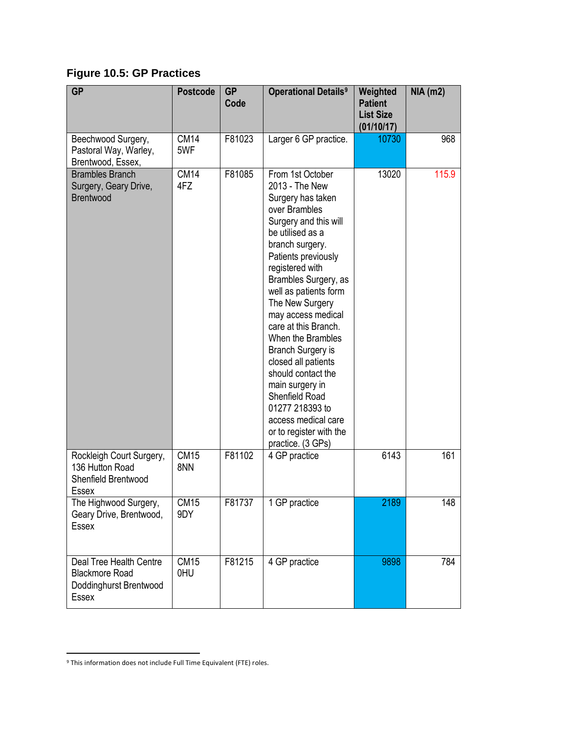**Figure 10.5: GP Practices**

| <b>GP</b>                                                                           | <b>Postcode</b>    | <b>GP</b><br>Code | <b>Operational Details<sup>9</sup></b>                                                                                                                                                                                                                                                                                                                                                                                                                                                                                            | Weighted<br><b>Patient</b><br><b>List Size</b><br>(01/10/17) | <b>NIA (m2)</b> |
|-------------------------------------------------------------------------------------|--------------------|-------------------|-----------------------------------------------------------------------------------------------------------------------------------------------------------------------------------------------------------------------------------------------------------------------------------------------------------------------------------------------------------------------------------------------------------------------------------------------------------------------------------------------------------------------------------|--------------------------------------------------------------|-----------------|
| Beechwood Surgery,<br>Pastoral Way, Warley,<br>Brentwood, Essex,                    | <b>CM14</b><br>5WF | F81023            | Larger 6 GP practice.                                                                                                                                                                                                                                                                                                                                                                                                                                                                                                             | 10730                                                        | 968             |
| <b>Brambles Branch</b><br>Surgery, Geary Drive,<br><b>Brentwood</b>                 | <b>CM14</b><br>4FZ | F81085            | From 1st October<br>2013 - The New<br>Surgery has taken<br>over Brambles<br>Surgery and this will<br>be utilised as a<br>branch surgery.<br>Patients previously<br>registered with<br>Brambles Surgery, as<br>well as patients form<br>The New Surgery<br>may access medical<br>care at this Branch.<br>When the Brambles<br><b>Branch Surgery is</b><br>closed all patients<br>should contact the<br>main surgery in<br>Shenfield Road<br>01277 218393 to<br>access medical care<br>or to register with the<br>practice. (3 GPs) | 13020                                                        | 115.9           |
| Rockleigh Court Surgery,<br>136 Hutton Road<br>Shenfield Brentwood<br>Essex         | <b>CM15</b><br>8NN | F81102            | 4 GP practice                                                                                                                                                                                                                                                                                                                                                                                                                                                                                                                     | 6143                                                         | 161             |
| The Highwood Surgery,<br>Geary Drive, Brentwood,<br><b>Essex</b>                    | <b>CM15</b><br>9DY | F81737            | 1 GP practice                                                                                                                                                                                                                                                                                                                                                                                                                                                                                                                     | 2189                                                         | 148             |
| Deal Tree Health Centre<br><b>Blackmore Road</b><br>Doddinghurst Brentwood<br>Essex | <b>CM15</b><br>0HU | F81215            | 4 GP practice                                                                                                                                                                                                                                                                                                                                                                                                                                                                                                                     | 9898                                                         | 784             |

 $\overline{\phantom{a}}$ 

<sup>&</sup>lt;sup>9</sup> This information does not include Full Time Equivalent (FTE) roles.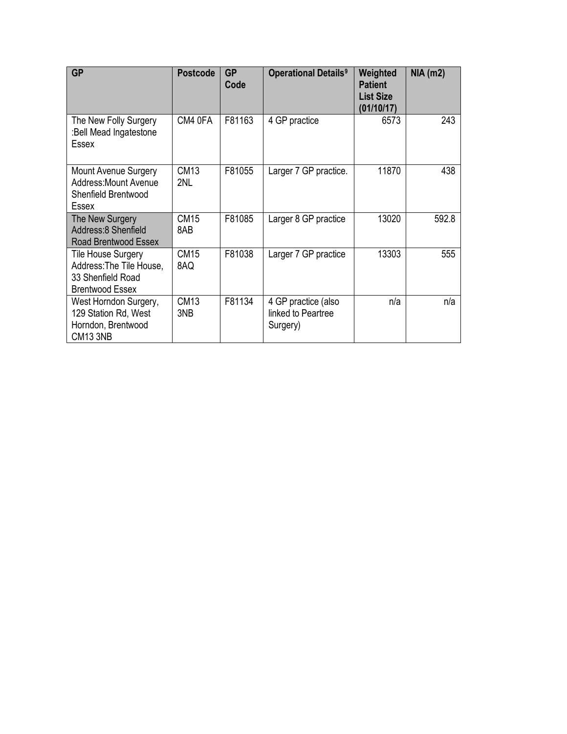| <b>GP</b>                                                                                     | <b>Postcode</b>    | <b>GP</b><br>Code | <b>Operational Details<sup>9</sup></b>                | Weighted<br><b>Patient</b><br><b>List Size</b><br>(01/10/17) | $NIA$ (m2) |
|-----------------------------------------------------------------------------------------------|--------------------|-------------------|-------------------------------------------------------|--------------------------------------------------------------|------------|
| The New Folly Surgery<br>:Bell Mead Ingatestone<br><b>Essex</b>                               | CM4 0FA            | F81163            | 4 GP practice                                         | 6573                                                         | 243        |
| <b>Mount Avenue Surgery</b><br><b>Address: Mount Avenue</b><br>Shenfield Brentwood<br>Essex   | <b>CM13</b><br>2NL | F81055            | Larger 7 GP practice.                                 | 11870                                                        | 438        |
| The New Surgery<br>Address:8 Shenfield<br>Road Brentwood Essex                                | <b>CM15</b><br>8AB | F81085            | Larger 8 GP practice                                  | 13020                                                        | 592.8      |
| Tile House Surgery<br>Address: The Tile House,<br>33 Shenfield Road<br><b>Brentwood Essex</b> | <b>CM15</b><br>8AQ | F81038            | Larger 7 GP practice                                  | 13303                                                        | 555        |
| West Horndon Surgery,<br>129 Station Rd, West<br>Horndon, Brentwood<br>CM13 3NB               | <b>CM13</b><br>3NB | F81134            | 4 GP practice (also<br>linked to Peartree<br>Surgery) | n/a                                                          | n/a        |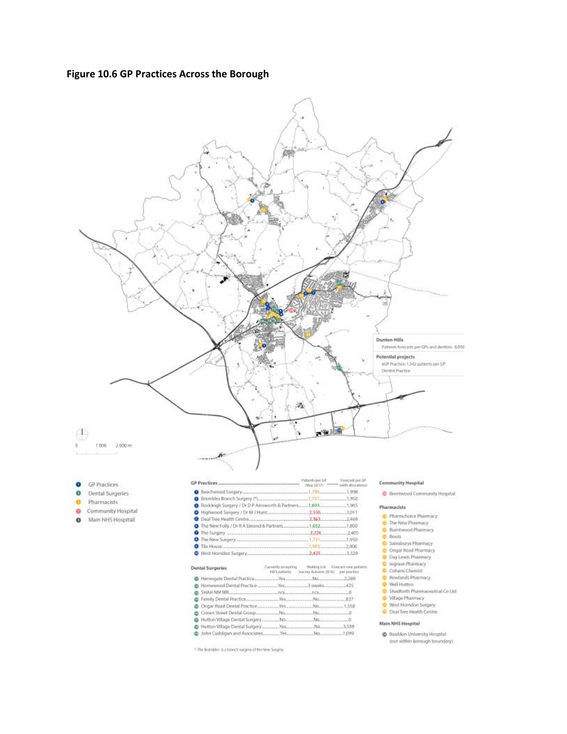#### **Figure 10.6 GP Practices Across the Borough**



\* The Brambles is a bronch surgery of the New Surgery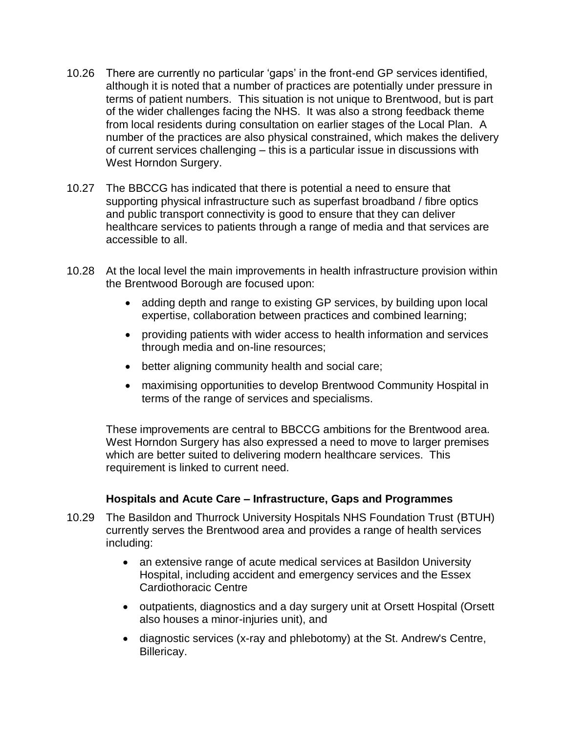- 10.26 There are currently no particular 'gaps' in the front-end GP services identified, although it is noted that a number of practices are potentially under pressure in terms of patient numbers. This situation is not unique to Brentwood, but is part of the wider challenges facing the NHS. It was also a strong feedback theme from local residents during consultation on earlier stages of the Local Plan. A number of the practices are also physical constrained, which makes the delivery of current services challenging – this is a particular issue in discussions with West Horndon Surgery.
- 10.27 The BBCCG has indicated that there is potential a need to ensure that supporting physical infrastructure such as superfast broadband / fibre optics and public transport connectivity is good to ensure that they can deliver healthcare services to patients through a range of media and that services are accessible to all.
- 10.28 At the local level the main improvements in health infrastructure provision within the Brentwood Borough are focused upon:
	- adding depth and range to existing GP services, by building upon local expertise, collaboration between practices and combined learning;
	- providing patients with wider access to health information and services through media and on-line resources;
	- better aligning community health and social care;
	- maximising opportunities to develop Brentwood Community Hospital in terms of the range of services and specialisms.

These improvements are central to BBCCG ambitions for the Brentwood area. West Horndon Surgery has also expressed a need to move to larger premises which are better suited to delivering modern healthcare services. This requirement is linked to current need.

#### **Hospitals and Acute Care – Infrastructure, Gaps and Programmes**

- 10.29 The Basildon and Thurrock University Hospitals NHS Foundation Trust (BTUH) currently serves the Brentwood area and provides a range of health services including:
	- an extensive range of acute medical services at Basildon University Hospital, including accident and emergency services and the Essex Cardiothoracic Centre
	- outpatients, diagnostics and a day surgery unit at Orsett Hospital (Orsett also houses a minor-injuries unit), and
	- diagnostic services (x-ray and phlebotomy) at the St. Andrew's Centre, Billericay.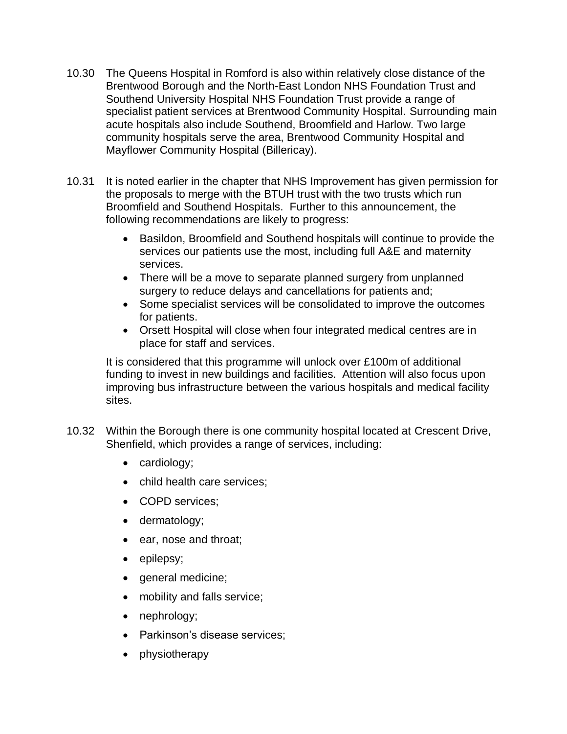- 10.30 The Queens Hospital in Romford is also within relatively close distance of the Brentwood Borough and the North-East London NHS Foundation Trust and Southend University Hospital NHS Foundation Trust provide a range of specialist patient services at Brentwood Community Hospital. Surrounding main acute hospitals also include Southend, Broomfield and Harlow. Two large community hospitals serve the area, Brentwood Community Hospital and Mayflower Community Hospital (Billericay).
- 10.31 It is noted earlier in the chapter that NHS Improvement has given permission for the proposals to merge with the BTUH trust with the two trusts which run Broomfield and Southend Hospitals. Further to this announcement, the following recommendations are likely to progress:
	- Basildon, Broomfield and Southend hospitals will continue to provide the services our patients use the most, including full A&E and maternity services.
	- There will be a move to separate planned surgery from unplanned surgery to reduce delays and cancellations for patients and;
	- Some specialist services will be consolidated to improve the outcomes for patients.
	- Orsett Hospital will close when four integrated medical centres are in place for staff and services.

It is considered that this programme will unlock over £100m of additional funding to invest in new buildings and facilities. Attention will also focus upon improving bus infrastructure between the various hospitals and medical facility sites.

- 10.32 Within the Borough there is one community hospital located at Crescent Drive, Shenfield, which provides a range of services, including:
	- cardiology;
	- child health care services;
	- COPD services;
	- dermatology;
	- ear, nose and throat;
	- epilepsy;
	- general medicine;
	- mobility and falls service;
	- nephrology;
	- Parkinson's disease services;
	- physiotherapy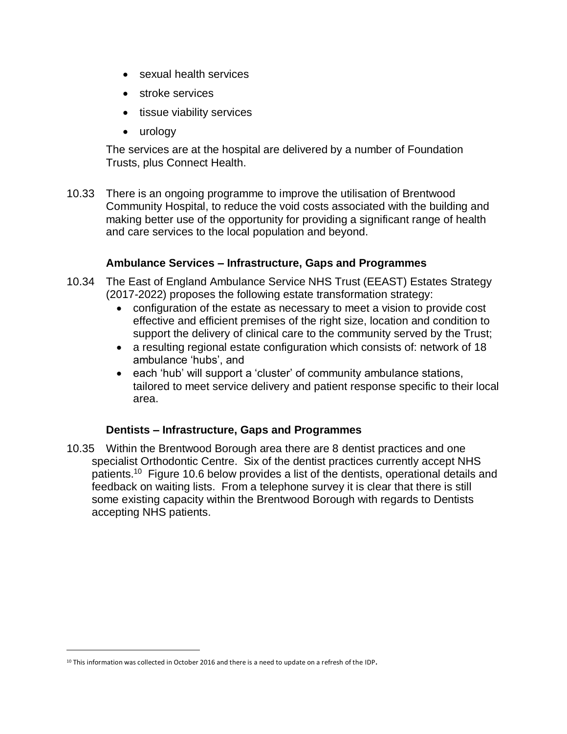- sexual health services
- stroke services
- tissue viability services
- urology

The services are at the hospital are delivered by a number of Foundation Trusts, plus Connect Health.

10.33 There is an ongoing programme to improve the utilisation of Brentwood Community Hospital, to reduce the void costs associated with the building and making better use of the opportunity for providing a significant range of health and care services to the local population and beyond.

#### **Ambulance Services – Infrastructure, Gaps and Programmes**

- 10.34 The East of England Ambulance Service NHS Trust (EEAST) Estates Strategy (2017-2022) proposes the following estate transformation strategy:
	- configuration of the estate as necessary to meet a vision to provide cost effective and efficient premises of the right size, location and condition to support the delivery of clinical care to the community served by the Trust;
	- a resulting regional estate configuration which consists of: network of 18 ambulance 'hubs', and
	- each 'hub' will support a 'cluster' of community ambulance stations, tailored to meet service delivery and patient response specific to their local area.

#### **Dentists – Infrastructure, Gaps and Programmes**

10.35 Within the Brentwood Borough area there are 8 dentist practices and one specialist Orthodontic Centre. Six of the dentist practices currently accept NHS patients.<sup>10</sup> Figure 10.6 below provides a list of the dentists, operational details and feedback on waiting lists. From a telephone survey it is clear that there is still some existing capacity within the Brentwood Borough with regards to Dentists accepting NHS patients.

 $\overline{a}$ 

 $10$  This information was collected in October 2016 and there is a need to update on a refresh of the IDP.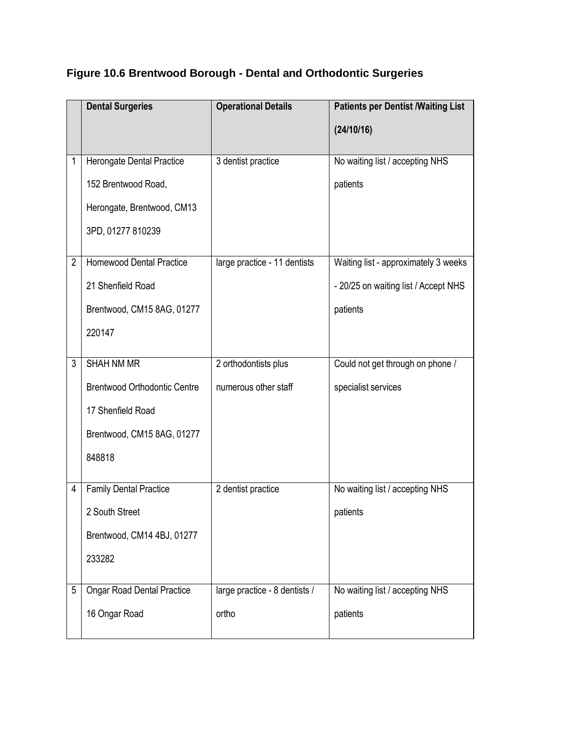|                | <b>Dental Surgeries</b>             | <b>Operational Details</b>    | <b>Patients per Dentist /Waiting List</b> |
|----------------|-------------------------------------|-------------------------------|-------------------------------------------|
|                |                                     |                               | (24/10/16)                                |
| 1              | Herongate Dental Practice           | 3 dentist practice            | No waiting list / accepting NHS           |
|                | 152 Brentwood Road,                 |                               | patients                                  |
|                | Herongate, Brentwood, CM13          |                               |                                           |
|                | 3PD, 01277 810239                   |                               |                                           |
| $\overline{2}$ | <b>Homewood Dental Practice</b>     | large practice - 11 dentists  | Waiting list - approximately 3 weeks      |
|                | 21 Shenfield Road                   |                               | - 20/25 on waiting list / Accept NHS      |
|                | Brentwood, CM15 8AG, 01277          |                               | patients                                  |
|                | 220147                              |                               |                                           |
|                |                                     |                               |                                           |
| 3              | <b>SHAH NM MR</b>                   | 2 orthodontists plus          | Could not get through on phone /          |
|                | <b>Brentwood Orthodontic Centre</b> | numerous other staff          | specialist services                       |
|                | 17 Shenfield Road                   |                               |                                           |
|                | Brentwood, CM15 8AG, 01277          |                               |                                           |
|                | 848818                              |                               |                                           |
| 4              | <b>Family Dental Practice</b>       | 2 dentist practice            | No waiting list / accepting NHS           |
|                | 2 South Street                      |                               | patients                                  |
|                | Brentwood, CM14 4BJ, 01277          |                               |                                           |
|                | 233282                              |                               |                                           |
| 5              | <b>Ongar Road Dental Practice</b>   | large practice - 8 dentists / | No waiting list / accepting NHS           |
|                | 16 Ongar Road                       | ortho                         | patients                                  |

# **Figure 10.6 Brentwood Borough - Dental and Orthodontic Surgeries**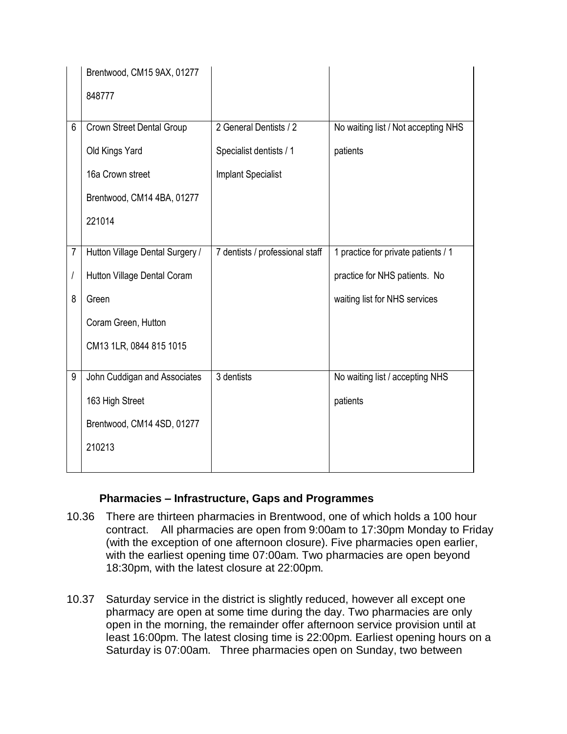|                | Brentwood, CM15 9AX, 01277      |                                 |                                     |
|----------------|---------------------------------|---------------------------------|-------------------------------------|
|                | 848777                          |                                 |                                     |
| 6              | Crown Street Dental Group       | 2 General Dentists / 2          | No waiting list / Not accepting NHS |
|                | Old Kings Yard                  | Specialist dentists / 1         | patients                            |
|                | 16a Crown street                | <b>Implant Specialist</b>       |                                     |
|                | Brentwood, CM14 4BA, 01277      |                                 |                                     |
|                | 221014                          |                                 |                                     |
|                |                                 |                                 |                                     |
| $\overline{7}$ | Hutton Village Dental Surgery / | 7 dentists / professional staff | 1 practice for private patients / 1 |
| $\sqrt{2}$     | Hutton Village Dental Coram     |                                 | practice for NHS patients. No       |
| 8              | Green                           |                                 | waiting list for NHS services       |
|                | Coram Green, Hutton             |                                 |                                     |
|                | CM13 1LR, 0844 815 1015         |                                 |                                     |
|                |                                 |                                 |                                     |
| 9              | John Cuddigan and Associates    | 3 dentists                      | No waiting list / accepting NHS     |
|                | 163 High Street                 |                                 | patients                            |
|                | Brentwood, CM14 4SD, 01277      |                                 |                                     |
|                | 210213                          |                                 |                                     |
|                |                                 |                                 |                                     |

#### **Pharmacies – Infrastructure, Gaps and Programmes**

- 10.36 There are thirteen pharmacies in Brentwood, one of which holds a 100 hour contract. All pharmacies are open from 9:00am to 17:30pm Monday to Friday (with the exception of one afternoon closure). Five pharmacies open earlier, with the earliest opening time 07:00am. Two pharmacies are open beyond 18:30pm, with the latest closure at 22:00pm.
- 10.37 Saturday service in the district is slightly reduced, however all except one pharmacy are open at some time during the day. Two pharmacies are only open in the morning, the remainder offer afternoon service provision until at least 16:00pm. The latest closing time is 22:00pm. Earliest opening hours on a Saturday is 07:00am. Three pharmacies open on Sunday, two between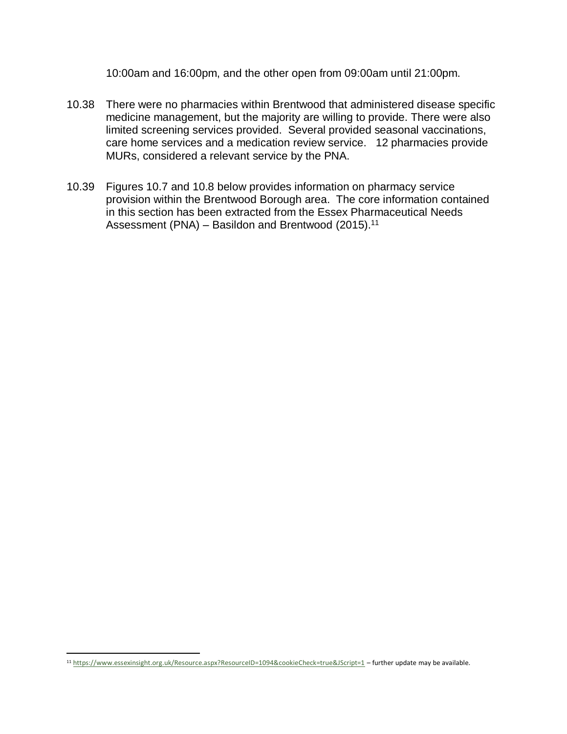10:00am and 16:00pm, and the other open from 09:00am until 21:00pm.

- 10.38 There were no pharmacies within Brentwood that administered disease specific medicine management, but the majority are willing to provide. There were also limited screening services provided. Several provided seasonal vaccinations, care home services and a medication review service. 12 pharmacies provide MURs, considered a relevant service by the PNA.
- 10.39 Figures 10.7 and 10.8 below provides information on pharmacy service provision within the Brentwood Borough area. The core information contained in this section has been extracted from the Essex Pharmaceutical Needs Assessment (PNA) - Basildon and Brentwood (2015).<sup>11</sup>

 $\overline{\phantom{a}}$ 

<sup>11</sup> <https://www.essexinsight.org.uk/Resource.aspx?ResourceID=1094&cookieCheck=true&JScript=1> – further update may be available.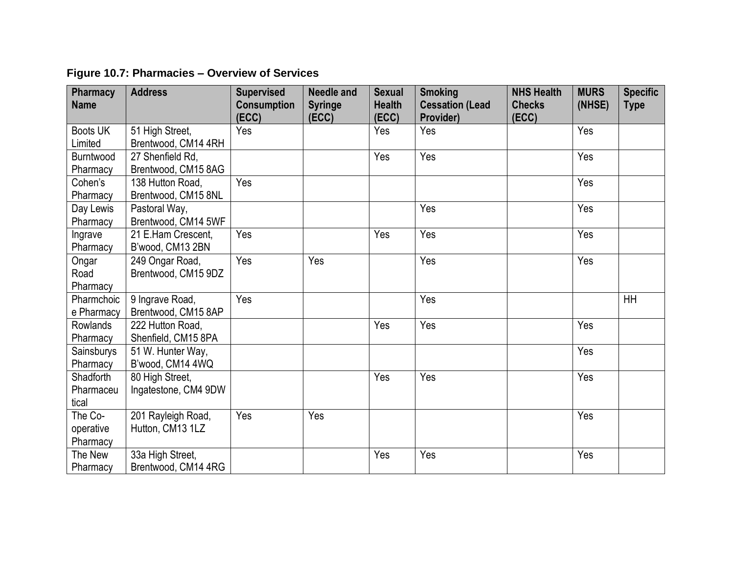| <b>Pharmacy</b><br><b>Name</b>         | <b>Address</b>                          | <b>Supervised</b><br><b>Consumption</b><br>(ECC) | <b>Needle and</b><br><b>Syringe</b><br>(ECC) | <b>Sexual</b><br><b>Health</b><br>(ECC) | <b>Smoking</b><br><b>Cessation (Lead</b><br>Provider) | <b>NHS Health</b><br><b>Checks</b><br>(ECC) | <b>MURS</b><br>(NHSE) | <b>Specific</b><br><b>Type</b> |
|----------------------------------------|-----------------------------------------|--------------------------------------------------|----------------------------------------------|-----------------------------------------|-------------------------------------------------------|---------------------------------------------|-----------------------|--------------------------------|
| <b>Boots UK</b><br>Limited             | 51 High Street,<br>Brentwood, CM14 4RH  | Yes                                              |                                              | Yes                                     | Yes                                                   |                                             | Yes                   |                                |
| <b>Burntwood</b><br>Pharmacy           | 27 Shenfield Rd.<br>Brentwood, CM15 8AG |                                                  |                                              | Yes                                     | Yes                                                   |                                             | Yes                   |                                |
| Cohen's<br>Pharmacy                    | 138 Hutton Road,<br>Brentwood, CM15 8NL | Yes                                              |                                              |                                         |                                                       |                                             | Yes                   |                                |
| Day Lewis<br>Pharmacy                  | Pastoral Way,<br>Brentwood, CM14 5WF    |                                                  |                                              |                                         | Yes                                                   |                                             | Yes                   |                                |
| Ingrave<br>Pharmacy                    | 21 E.Ham Crescent,<br>B'wood, CM13 2BN  | Yes                                              |                                              | Yes                                     | Yes                                                   |                                             | Yes                   |                                |
| Ongar<br>Road<br>Pharmacy              | 249 Ongar Road,<br>Brentwood, CM15 9DZ  | Yes                                              | Yes                                          |                                         | Yes                                                   |                                             | Yes                   |                                |
| Pharmchoic<br>e Pharmacy               | 9 Ingrave Road,<br>Brentwood, CM15 8AP  | Yes                                              |                                              |                                         | Yes                                                   |                                             |                       | <b>HH</b>                      |
| <b>Rowlands</b><br>Pharmacy            | 222 Hutton Road,<br>Shenfield, CM15 8PA |                                                  |                                              | Yes                                     | Yes                                                   |                                             | Yes                   |                                |
| Sainsburys<br>Pharmacy                 | 51 W. Hunter Way,<br>B'wood, CM14 4WQ   |                                                  |                                              |                                         |                                                       |                                             | Yes                   |                                |
| <b>Shadforth</b><br>Pharmaceu<br>tical | 80 High Street,<br>Ingatestone, CM4 9DW |                                                  |                                              | Yes                                     | Yes                                                   |                                             | Yes                   |                                |
| The Co-<br>operative<br>Pharmacy       | 201 Rayleigh Road,<br>Hutton, CM13 1LZ  | Yes                                              | Yes                                          |                                         |                                                       |                                             | Yes                   |                                |
| The New<br>Pharmacy                    | 33a High Street,<br>Brentwood, CM14 4RG |                                                  |                                              | Yes                                     | Yes                                                   |                                             | Yes                   |                                |

# **Figure 10.7: Pharmacies – Overview of Services**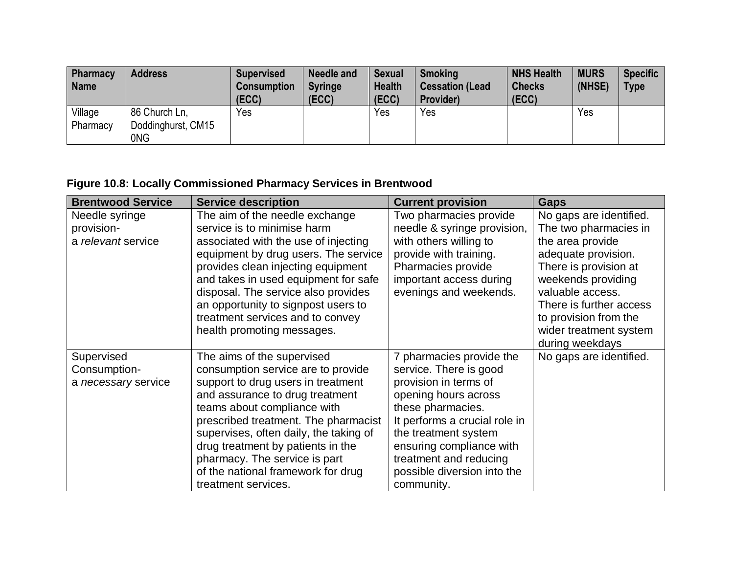| <b>Pharmacy</b><br><b>Name</b> | <b>Address</b>                             | <b>Supervised</b><br><b>Consumption</b><br>(ECC) | <b>Needle and</b><br><b>Syringe</b><br>(ECC) | <b>Sexual</b><br><b>Health</b><br>(ECC) | <b>Smoking</b><br><b>Cessation (Lead)</b><br>Provider) | <b>NHS Health</b><br><b>Checks</b><br>(ECC) | <b>MURS</b><br>(NHSE) | <b>Specific</b><br><b>Type</b> |
|--------------------------------|--------------------------------------------|--------------------------------------------------|----------------------------------------------|-----------------------------------------|--------------------------------------------------------|---------------------------------------------|-----------------------|--------------------------------|
| Village<br>Pharmacy            | 86 Church Ln,<br>Doddinghurst, CM15<br>0NG | Yes                                              |                                              | Yes                                     | Yes                                                    |                                             | Yes                   |                                |

# **Figure 10.8: Locally Commissioned Pharmacy Services in Brentwood**

| <b>Brentwood Service</b> | <b>Service description</b>             | <b>Current provision</b>      | <b>Gaps</b>             |
|--------------------------|----------------------------------------|-------------------------------|-------------------------|
| Needle syringe           | The aim of the needle exchange         | Two pharmacies provide        | No gaps are identified. |
| provision-               | service is to minimise harm            | needle & syringe provision,   | The two pharmacies in   |
| a relevant service       | associated with the use of injecting   | with others willing to        | the area provide        |
|                          | equipment by drug users. The service   | provide with training.        | adequate provision.     |
|                          | provides clean injecting equipment     | Pharmacies provide            | There is provision at   |
|                          | and takes in used equipment for safe   | important access during       | weekends providing      |
|                          | disposal. The service also provides    | evenings and weekends.        | valuable access.        |
|                          | an opportunity to signpost users to    |                               | There is further access |
|                          | treatment services and to convey       |                               | to provision from the   |
|                          | health promoting messages.             |                               | wider treatment system  |
|                          |                                        |                               | during weekdays         |
| Supervised               | The aims of the supervised             | 7 pharmacies provide the      | No gaps are identified. |
| Consumption-             | consumption service are to provide     | service. There is good        |                         |
| a necessary service      | support to drug users in treatment     | provision in terms of         |                         |
|                          | and assurance to drug treatment        | opening hours across          |                         |
|                          | teams about compliance with            | these pharmacies.             |                         |
|                          | prescribed treatment. The pharmacist   | It performs a crucial role in |                         |
|                          | supervises, often daily, the taking of | the treatment system          |                         |
|                          | drug treatment by patients in the      | ensuring compliance with      |                         |
|                          | pharmacy. The service is part          | treatment and reducing        |                         |
|                          | of the national framework for drug     | possible diversion into the   |                         |
|                          | treatment services.                    | community.                    |                         |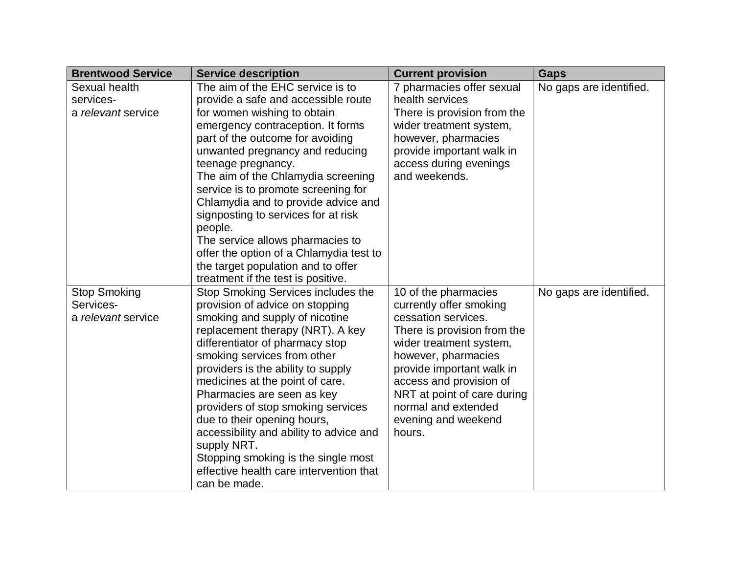| <b>Brentwood Service</b> | <b>Service description</b>              | <b>Current provision</b>    | Gaps                    |
|--------------------------|-----------------------------------------|-----------------------------|-------------------------|
| Sexual health            | The aim of the EHC service is to        | 7 pharmacies offer sexual   | No gaps are identified. |
| services-                | provide a safe and accessible route     | health services             |                         |
| a relevant service       | for women wishing to obtain             | There is provision from the |                         |
|                          | emergency contraception. It forms       | wider treatment system,     |                         |
|                          | part of the outcome for avoiding        | however, pharmacies         |                         |
|                          | unwanted pregnancy and reducing         | provide important walk in   |                         |
|                          | teenage pregnancy.                      | access during evenings      |                         |
|                          | The aim of the Chlamydia screening      | and weekends.               |                         |
|                          | service is to promote screening for     |                             |                         |
|                          | Chlamydia and to provide advice and     |                             |                         |
|                          | signposting to services for at risk     |                             |                         |
|                          | people.                                 |                             |                         |
|                          | The service allows pharmacies to        |                             |                         |
|                          | offer the option of a Chlamydia test to |                             |                         |
|                          | the target population and to offer      |                             |                         |
|                          | treatment if the test is positive.      |                             |                         |
| <b>Stop Smoking</b>      | Stop Smoking Services includes the      | 10 of the pharmacies        | No gaps are identified. |
| Services-                | provision of advice on stopping         | currently offer smoking     |                         |
| a relevant service       | smoking and supply of nicotine          | cessation services.         |                         |
|                          | replacement therapy (NRT). A key        | There is provision from the |                         |
|                          | differentiator of pharmacy stop         | wider treatment system,     |                         |
|                          | smoking services from other             | however, pharmacies         |                         |
|                          | providers is the ability to supply      | provide important walk in   |                         |
|                          | medicines at the point of care.         | access and provision of     |                         |
|                          | Pharmacies are seen as key              | NRT at point of care during |                         |
|                          | providers of stop smoking services      | normal and extended         |                         |
|                          | due to their opening hours,             | evening and weekend         |                         |
|                          | accessibility and ability to advice and | hours.                      |                         |
|                          | supply NRT.                             |                             |                         |
|                          | Stopping smoking is the single most     |                             |                         |
|                          | effective health care intervention that |                             |                         |
|                          | can be made.                            |                             |                         |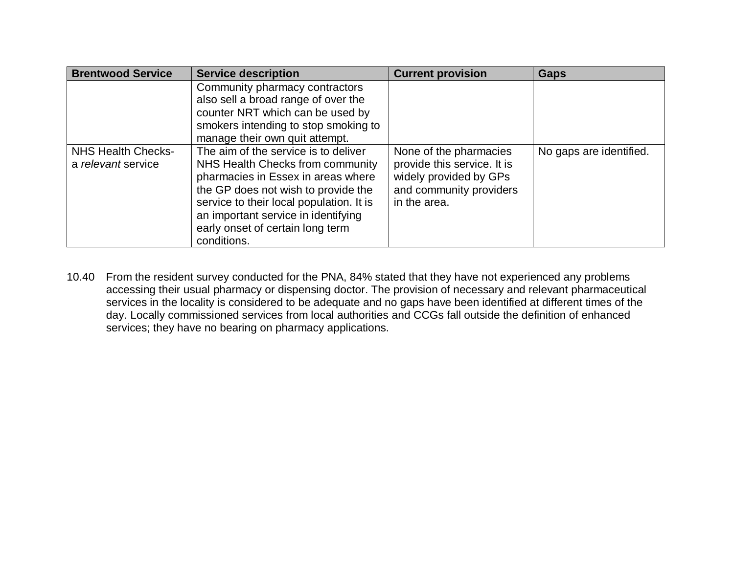| <b>Brentwood Service</b>                        | <b>Service description</b>                                                                                                                                                                                                                                                                  | <b>Current provision</b>                                                                                                   | <b>Gaps</b>             |
|-------------------------------------------------|---------------------------------------------------------------------------------------------------------------------------------------------------------------------------------------------------------------------------------------------------------------------------------------------|----------------------------------------------------------------------------------------------------------------------------|-------------------------|
|                                                 | Community pharmacy contractors<br>also sell a broad range of over the<br>counter NRT which can be used by<br>smokers intending to stop smoking to<br>manage their own quit attempt.                                                                                                         |                                                                                                                            |                         |
| <b>NHS Health Checks-</b><br>a relevant service | The aim of the service is to deliver<br>NHS Health Checks from community<br>pharmacies in Essex in areas where<br>the GP does not wish to provide the<br>service to their local population. It is<br>an important service in identifying<br>early onset of certain long term<br>conditions. | None of the pharmacies<br>provide this service. It is<br>widely provided by GPs<br>and community providers<br>in the area. | No gaps are identified. |

10.40 From the resident survey conducted for the PNA, 84% stated that they have not experienced any problems accessing their usual pharmacy or dispensing doctor. The provision of necessary and relevant pharmaceutical services in the locality is considered to be adequate and no gaps have been identified at different times of the day. Locally commissioned services from local authorities and CCGs fall outside the definition of enhanced services; they have no bearing on pharmacy applications.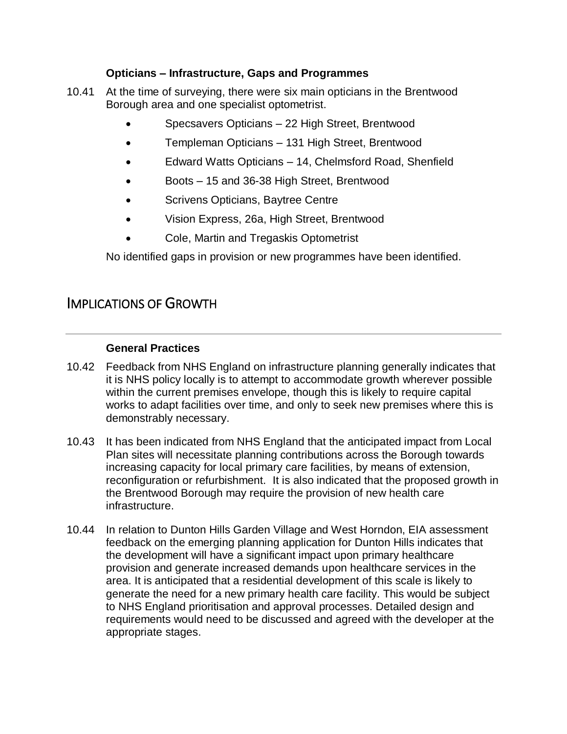#### **Opticians – Infrastructure, Gaps and Programmes**

- 10.41 At the time of surveying, there were six main opticians in the Brentwood Borough area and one specialist optometrist.
	- Specsavers Opticians 22 High Street, Brentwood
	- Templeman Opticians 131 High Street, Brentwood
	- Edward Watts Opticians 14, Chelmsford Road, Shenfield
	- Boots 15 and 36-38 High Street, Brentwood
	- Scrivens Opticians, Baytree Centre
	- Vision Express, 26a, High Street, Brentwood
	- Cole, Martin and Tregaskis Optometrist

No identified gaps in provision or new programmes have been identified.

# IMPLICATIONS OF GROWTH

#### **General Practices**

- 10.42 Feedback from NHS England on infrastructure planning generally indicates that it is NHS policy locally is to attempt to accommodate growth wherever possible within the current premises envelope, though this is likely to require capital works to adapt facilities over time, and only to seek new premises where this is demonstrably necessary.
- 10.43 It has been indicated from NHS England that the anticipated impact from Local Plan sites will necessitate planning contributions across the Borough towards increasing capacity for local primary care facilities, by means of extension, reconfiguration or refurbishment. It is also indicated that the proposed growth in the Brentwood Borough may require the provision of new health care infrastructure.
- 10.44 In relation to Dunton Hills Garden Village and West Horndon, EIA assessment feedback on the emerging planning application for Dunton Hills indicates that the development will have a significant impact upon primary healthcare provision and generate increased demands upon healthcare services in the area. It is anticipated that a residential development of this scale is likely to generate the need for a new primary health care facility. This would be subject to NHS England prioritisation and approval processes. Detailed design and requirements would need to be discussed and agreed with the developer at the appropriate stages.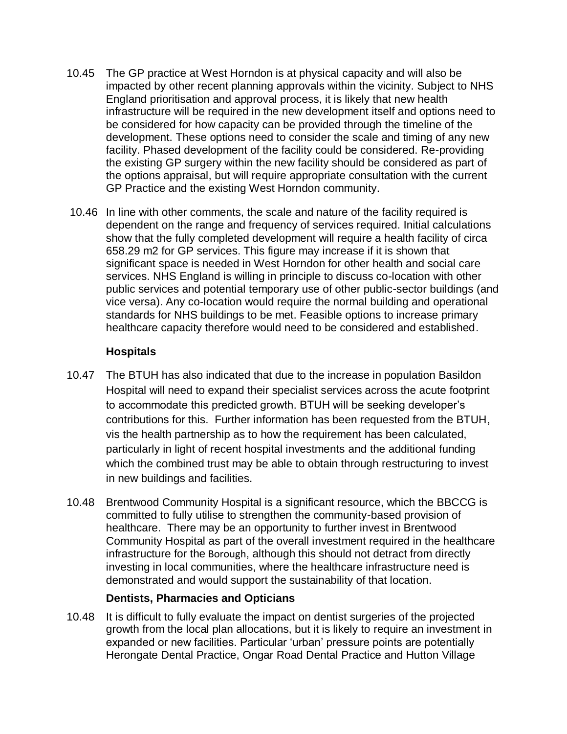- 10.45 The GP practice at West Horndon is at physical capacity and will also be impacted by other recent planning approvals within the vicinity. Subject to NHS England prioritisation and approval process, it is likely that new health infrastructure will be required in the new development itself and options need to be considered for how capacity can be provided through the timeline of the development. These options need to consider the scale and timing of any new facility. Phased development of the facility could be considered. Re-providing the existing GP surgery within the new facility should be considered as part of the options appraisal, but will require appropriate consultation with the current GP Practice and the existing West Horndon community.
- 10.46 In line with other comments, the scale and nature of the facility required is dependent on the range and frequency of services required. Initial calculations show that the fully completed development will require a health facility of circa 658.29 m2 for GP services. This figure may increase if it is shown that significant space is needed in West Horndon for other health and social care services. NHS England is willing in principle to discuss co-location with other public services and potential temporary use of other public-sector buildings (and vice versa). Any co-location would require the normal building and operational standards for NHS buildings to be met. Feasible options to increase primary healthcare capacity therefore would need to be considered and established.

## **Hospitals**

- 10.47 The BTUH has also indicated that due to the increase in population Basildon Hospital will need to expand their specialist services across the acute footprint to accommodate this predicted growth. BTUH will be seeking developer's contributions for this. Further information has been requested from the BTUH, vis the health partnership as to how the requirement has been calculated, particularly in light of recent hospital investments and the additional funding which the combined trust may be able to obtain through restructuring to invest in new buildings and facilities.
- 10.48 Brentwood Community Hospital is a significant resource, which the BBCCG is committed to fully utilise to strengthen the community-based provision of healthcare. There may be an opportunity to further invest in Brentwood Community Hospital as part of the overall investment required in the healthcare infrastructure for the Borough, although this should not detract from directly investing in local communities, where the healthcare infrastructure need is demonstrated and would support the sustainability of that location.

#### **Dentists, Pharmacies and Opticians**

10.48 It is difficult to fully evaluate the impact on dentist surgeries of the projected growth from the local plan allocations, but it is likely to require an investment in expanded or new facilities. Particular 'urban' pressure points are potentially Herongate Dental Practice, Ongar Road Dental Practice and Hutton Village